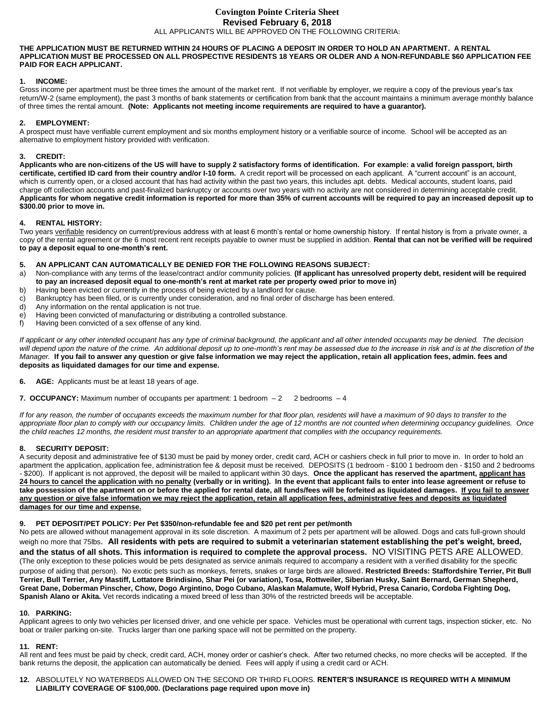# **Covington Pointe Criteria Sheet Revised February 6, 2018** ALL APPLICANTS WILL BE APPROVED ON THE FOLLOWING CRITERIA:

#### **THE APPLICATION MUST BE RETURNED WITHIN 24 HOURS OF PLACING A DEPOSIT IN ORDER TO HOLD AN APARTMENT. A RENTAL APPLICATION MUST BE PROCESSED ON ALL PROSPECTIVE RESIDENTS 18 YEARS OR OLDER AND A NON-REFUNDABLE \$60 APPLICATION FEE PAID FOR EACH APPLICANT.**

## **1. INCOME:**

Gross income per apartment must be three times the amount of the market rent. If not verifiable by employer, we require a copy of the previous year's tax return/W-2 (same employment), the past 3 months of bank statements or certification from bank that the account maintains a minimum average monthly balance of three times the rental amount. **(Note: Applicants not meeting income requirements are required to have a guarantor).**

## **2. EMPLOYMENT:**

A prospect must have verifiable current employment and six months employment history or a verifiable source of income. School will be accepted as an alternative to employment history provided with verification.

### **3. CREDIT:**

**Applicants who are non-citizens of the US will have to supply 2 satisfactory forms of identification. For example: a valid foreign passport, birth certificate, certified ID card from their country and/or I-10 form.** A credit report will be processed on each applicant. A "current account" is an account, which is currently open, or a closed account that has had activity within the past two years, this includes apt. debts. Medical accounts, student loans, paid charge off collection accounts and past-finalized bankruptcy or accounts over two years with no activity are not considered in determining acceptable credit. **Applicants for whom negative credit information is reported for more than 35% of current accounts will be required to pay an increased deposit up to \$300.00 prior to move in.**

### **4. RENTAL HISTORY:**

Two years verifiable residency on current/previous address with at least 6 month's rental or home ownership history. If rental history is from a private owner, a copy of the rental agreement or the 6 most recent rent receipts payable to owner must be supplied in addition. **Rental that can not be verified will be required to pay a deposit equal to one-month's rent.**

# **5. AN APPLICANT CAN AUTOMATICALLY BE DENIED FOR THE FOLLOWING REASONS SUBJECT:**

- a) Non-compliance with any terms of the lease/contract and/or community policies. **(If applicant has unresolved property debt, resident will be required to pay an increased deposit equal to one-month's rent at market rate per property owed prior to move in)**
- b) Having been evicted or currently in the process of being evicted by a landlord for cause.
- c) Bankruptcy has been filed, or is currently under consideration, and no final order of discharge has been entered.
- d) Any information on the rental application is not true.
- e) Having been convicted of manufacturing or distributing a controlled substance.<br>f) Having been convicted of a sex offense of any kind
- Having been convicted of a sex offense of any kind.

*If applicant or any other intended occupant has any type of criminal background, the applicant and all other intended occupants may be denied. The decision*  will depend upon the nature of the crime. An additional deposit up to one-month's rent may be assessed due to the increase in risk and is at the discretion of the *Manager.* **If you fail to answer any question or give false information we may reject the application, retain all application fees, admin. fees and deposits as liquidated damages for our time and expense.**

- **6. AGE:** Applicants must be at least 18 years of age.
- **7. OCCUPANCY:** Maximum number of occupants per apartment: 1 bedroom 2 2 bedrooms 4

*If for any reason, the number of occupants exceeds the maximum number for that floor plan, residents will have a maximum of 90 days to transfer to the appropriate floor plan to comply with our occupancy limits. Children under the age of 12 months are not counted when determining occupancy guidelines. Once the child reaches 12 months, the resident must transfer to an appropriate apartment that complies with the occupancy requirements.*

### **8. SECURITY DEPOSIT:**

A security deposit and administrative fee of \$130 must be paid by money order, credit card, ACH or cashiers check in full prior to move in. In order to hold an apartment the application, application fee, administration fee & deposit must be received. DEPOSITS (1 bedroom - \$100 1 bedroom den - \$150 and 2 bedrooms - \$200). If applicant is not approved, the deposit will be mailed to applicant within 30 days. **Once the applicant has reserved the apartment, applicant has 24 hours to cancel the application with no penalty (verbally or in writing). In the event that applicant fails to enter into lease agreement or refuse to take possession of the apartment on or before the applied for rental date, all funds/fees will be forfeited as liquidated damages. If you fail to answer any question or give false information we may reject the application, retain all application fees, administrative fees and deposits as liquidated damages for our time and expense.**

### **9. PET DEPOSIT/PET POLICY: Per Pet \$350/non-refundable fee and \$20 pet rent per pet/month**

No pets are allowed without management approval in its sole discretion. A maximum of 2 pets per apartment will be allowed. Dogs and cats full-grown should weigh no more that 75lbs. **All residents with pets are required to submit a veterinarian statement establishing the pet's weight, breed, and the status of all shots. This information is required to complete the approval process.** NO VISITING PETS ARE ALLOWED. (The only exception to these policies would be pets designated as service animals required to accompany a resident with a verified disability for the specific purpose of aiding that person). No exotic pets such as monkeys, ferrets, snakes or large birds are allowed. **Restricted Breeds: Staffordshire Terrier, Pit Bull Terrier, Bull Terrier, Any Mastiff, Lottatore Brindisino, Shar Pei (or variation), Tosa, Rottweiler, Siberian Husky, Saint Bernard, German Shepherd, Great Dane, Doberman Pinscher, Chow, Dogo Argintino, Dogo Cubano, Alaskan Malamute, Wolf Hybrid, Presa Canario, Cordoba Fighting Dog, Spanish Alano or Akita.** Vet records indicating a mixed breed of less than 30% of the restricted breeds will be acceptable.

### **10. PARKING:**

Applicant agrees to only two vehicles per licensed driver, and one vehicle per space. Vehicles must be operational with current tags, inspection sticker, etc. No boat or trailer parking on-site. Trucks larger than one parking space will not be permitted on the property.

### **11. RENT:**

All rent and fees must be paid by check, credit card, ACH, money order or cashier's check. After two returned checks, no more checks will be accepted. If the bank returns the deposit, the application can automatically be denied. Fees will apply if using a credit card or ACH.

**12.** ABSOLUTELY NO WATERBEDS ALLOWED ON THE SECOND OR THIRD FLOORS. **RENTER'S INSURANCE IS REQUIRED WITH A MINIMUM LIABILITY COVERAGE OF \$100,000. (Declarations page required upon move in)**